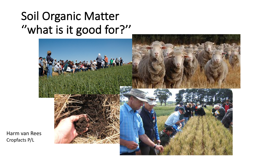## Soil Organic Matter "what is it good for?"



Harm van Rees Cropfacts P/L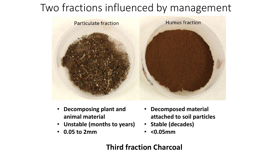### Two fractions influenced by management



- **Decomposing plant and animal material**
- **Unstable (months to years)**
- **0.05 to 2mm**
- **Decomposed material attached to soil particles**
- Stable (decades)
- **<0.05mm**

#### **Third fraction Charcoal**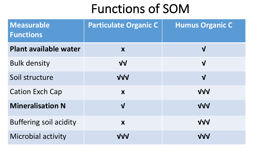# Functions of SOM

| <b>Measurable</b><br><b>Functions</b> | <b>Particulate Organic C</b> | <b>Humus Organic C</b>  |
|---------------------------------------|------------------------------|-------------------------|
| <b>Plant available water</b>          | X                            | $\mathbf{V}$            |
| <b>Bulk density</b>                   | $\sqrt{V}$                   | $\overline{\mathsf{V}}$ |
| Soil structure                        | VVV                          | $\overline{\mathsf{V}}$ |
| <b>Cation Exch Cap</b>                | X                            | <b>VVV</b>              |
| <b>Mineralisation N</b>               | $\mathbf{V}$                 | VVV                     |
| <b>Buffering soil acidity</b>         | X                            | <b>VVV</b>              |
| <b>Microbial activity</b>             | VVV                          | VVV                     |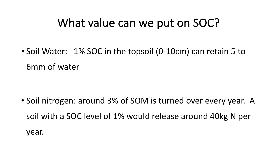### What value can we put on SOC?

• Soil Water: 1% SOC in the topsoil (0-10cm) can retain 5 to 6mm of water

• Soil nitrogen: around 3% of SOM is turned over every year. A soil with a SOC level of 1% would release around 40kg N per year.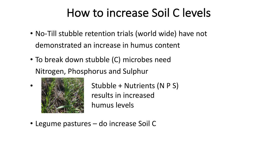## How to increase Soil C levels

- No-Till stubble retention trials (world wide) have not demonstrated an increase in humus content
- To break down stubble (C) microbes need Nitrogen, Phosphorus and Sulphur



•

Stubble + Nutrients (N P S) results in increased humus levels

• Legume pastures – do increase Soil C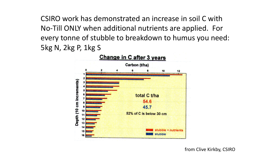CSIRO work has demonstrated an increase in soil C with No-Till ONLY when additional nutrients are applied. For every tonne of stubble to breakdown to humus you need: 5kg N, 2kg P, 1kg S

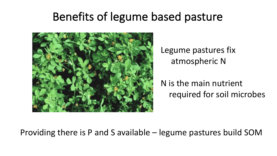## Benefits of legume based pasture



Legume pastures fix atmospheric N

N is the main nutrient required for soil microbes

#### Providing there is P and S available  $-$  legume pastures build SOM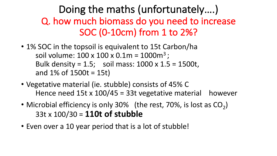#### Doing the maths (unfortunately....) Q. how much biomass do you need to increase SOC (0-10cm) from 1 to 2%?

- 1% SOC in the topsoil is equivalent to 15t Carbon/ha soil volume:  $100 \times 100 \times 0.1$ m =  $1000$ m<sup>3</sup>; Bulk density =  $1.5$ ; soil mass:  $1000 \times 1.5 = 1500$ t, and  $1\%$  of  $1500t = 15t$
- Vegetative material (ie. stubble) consists of 45% C Hence need  $15t \times 100/45 = 33t$  vegetative material however
- Microbial efficiency is only 30% (the rest, 70%, is lost as  $CO<sub>2</sub>$ ) 33t x 100/30 = **110t of stubble**
- Even over a 10 year period that is a lot of stubble!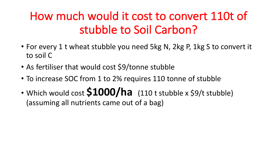## How much would it cost to convert 110t of stubble to Soil Carbon?

- For every 1 t wheat stubble you need 5kg N, 2kg P, 1kg S to convert it to soil C
- As fertiliser that would cost \$9/tonne stubble
- To increase SOC from 1 to 2% requires 110 tonne of stubble
- Which would cost  $$1000/ha$  (110 t stubble x \$9/t stubble) (assuming all nutrients came out of a bag)